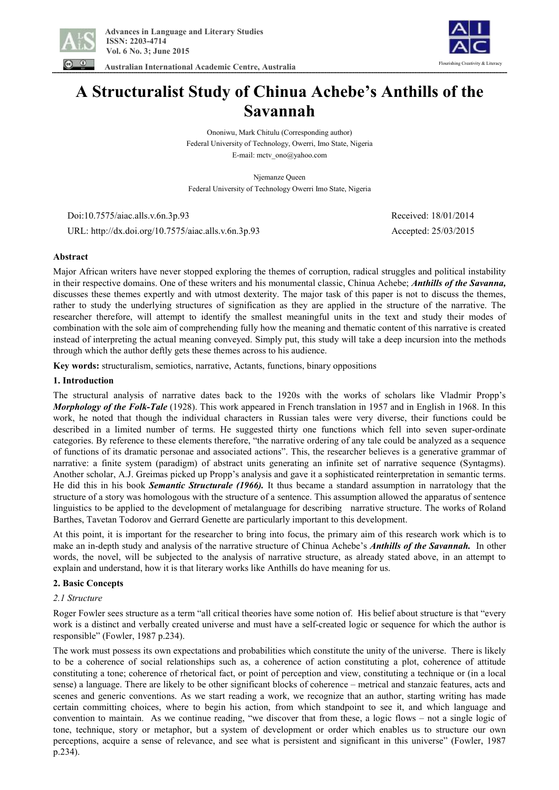

 **Australian International Academic Centre, Australia** 



# **A Structuralist Study of Chinua Achebe's Anthills of the Savannah**

Ononiwu, Mark Chitulu (Corresponding author) Federal University of Technology, Owerri, Imo State, Nigeria E-mail: mctv\_ono@yahoo.com

Njemanze Queen Federal University of Technology Owerri Imo State, Nigeria

 Doi:10.7575/aiac.alls.v.6n.3p.93 Received: 18/01/2014 URL: http://dx.doi.org/10.7575/aiac.alls.v.6n.3p.93 Accepted: 25/03/2015

# **Abstract**

Major African writers have never stopped exploring the themes of corruption, radical struggles and political instability in their respective domains. One of these writers and his monumental classic, Chinua Achebe; *Anthills of the Savanna,*  discusses these themes expertly and with utmost dexterity. The major task of this paper is not to discuss the themes, rather to study the underlying structures of signification as they are applied in the structure of the narrative. The researcher therefore, will attempt to identify the smallest meaningful units in the text and study their modes of combination with the sole aim of comprehending fully how the meaning and thematic content of this narrative is created instead of interpreting the actual meaning conveyed. Simply put, this study will take a deep incursion into the methods through which the author deftly gets these themes across to his audience.

**Key words:** structuralism, semiotics, narrative, Actants, functions, binary oppositions

# **1. Introduction**

The structural analysis of narrative dates back to the 1920s with the works of scholars like Vladmir Propp's *Morphology of the Folk-Tale* (1928). This work appeared in French translation in 1957 and in English in 1968. In this work, he noted that though the individual characters in Russian tales were very diverse, their functions could be described in a limited number of terms. He suggested thirty one functions which fell into seven super-ordinate categories. By reference to these elements therefore, "the narrative ordering of any tale could be analyzed as a sequence of functions of its dramatic personae and associated actions". This, the researcher believes is a generative grammar of narrative: a finite system (paradigm) of abstract units generating an infinite set of narrative sequence (Syntagms). Another scholar, A.J. Greimas picked up Propp's analysis and gave it a sophisticated reinterpretation in semantic terms. He did this in his book *Semantic Structurale (1966).* It thus became a standard assumption in narratology that the structure of a story was homologous with the structure of a sentence. This assumption allowed the apparatus of sentence linguistics to be applied to the development of metalanguage for describing narrative structure. The works of Roland Barthes, Tavetan Todorov and Gerrard Genette are particularly important to this development.

At this point, it is important for the researcher to bring into focus, the primary aim of this research work which is to make an in-depth study and analysis of the narrative structure of Chinua Achebe's *Anthills of the Savannah.* In other words, the novel, will be subjected to the analysis of narrative structure, as already stated above, in an attempt to explain and understand, how it is that literary works like Anthills do have meaning for us.

# **2. Basic Concepts**

# *2.1 Structure*

Roger Fowler sees structure as a term "all critical theories have some notion of. His belief about structure is that "every work is a distinct and verbally created universe and must have a self-created logic or sequence for which the author is responsible" (Fowler, 1987 p.234).

The work must possess its own expectations and probabilities which constitute the unity of the universe. There is likely to be a coherence of social relationships such as, a coherence of action constituting a plot, coherence of attitude constituting a tone; coherence of rhetorical fact, or point of perception and view, constituting a technique or (in a local sense) a language. There are likely to be other significant blocks of coherence – metrical and stanzaic features, acts and scenes and generic conventions. As we start reading a work, we recognize that an author, starting writing has made certain committing choices, where to begin his action, from which standpoint to see it, and which language and convention to maintain. As we continue reading, "we discover that from these, a logic flows – not a single logic of tone, technique, story or metaphor, but a system of development or order which enables us to structure our own perceptions, acquire a sense of relevance, and see what is persistent and significant in this universe" (Fowler, 1987 p.234).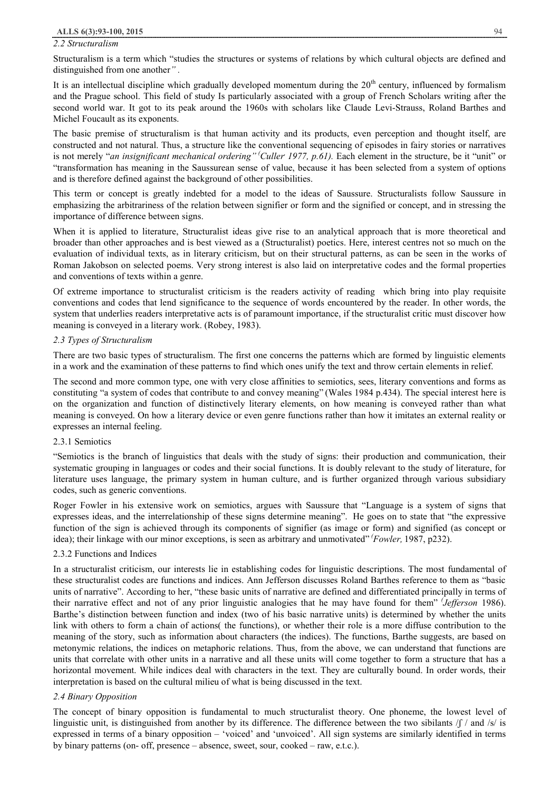## *2.2 Structuralism*

Structuralism is a term which "studies the structures or systems of relations by which cultural objects are defined and distinguished from one another*" .* 

It is an intellectual discipline which gradually developed momentum during the  $20<sup>th</sup>$  century, influenced by formalism and the Prague school. This field of study Is particularly associated with a group of French Scholars writing after the second world war. It got to its peak around the 1960s with scholars like Claude Levi-Strauss, Roland Barthes and Michel Foucault as its exponents.

The basic premise of structuralism is that human activity and its products, even perception and thought itself, are constructed and not natural. Thus, a structure like the conventional sequencing of episodes in fairy stories or narratives is not merely "an *insignificant mechanical ordering*" (Culler 1977, p.61). Each element in the structure, be it "unit" or "transformation has meaning in the Saussurean sense of value, because it has been selected from a system of options and is therefore defined against the background of other possibilities.

This term or concept is greatly indebted for a model to the ideas of Saussure. Structuralists follow Saussure in emphasizing the arbitrariness of the relation between signifier or form and the signified or concept, and in stressing the importance of difference between signs.

When it is applied to literature, Structuralist ideas give rise to an analytical approach that is more theoretical and broader than other approaches and is best viewed as a (Structuralist) poetics. Here, interest centres not so much on the evaluation of individual texts, as in literary criticism, but on their structural patterns, as can be seen in the works of Roman Jakobson on selected poems. Very strong interest is also laid on interpretative codes and the formal properties and conventions of texts within a genre.

Of extreme importance to structuralist criticism is the readers activity of reading which bring into play requisite conventions and codes that lend significance to the sequence of words encountered by the reader. In other words, the system that underlies readers interpretative acts is of paramount importance, if the structuralist critic must discover how meaning is conveyed in a literary work. (Robey, 1983).

# *2.3 Types of Structuralism*

There are two basic types of structuralism. The first one concerns the patterns which are formed by linguistic elements in a work and the examination of these patterns to find which ones unify the text and throw certain elements in relief.

The second and more common type, one with very close affinities to semiotics, sees, literary conventions and forms as constituting "a system of codes that contribute to and convey meaning" (Wales 1984 p.434). The special interest here is on the organization and function of distinctively literary elements, on how meaning is conveyed rather than what meaning is conveyed. On how a literary device or even genre functions rather than how it imitates an external reality or expresses an internal feeling.

#### 2.3.1 Semiotics

"Semiotics is the branch of linguistics that deals with the study of signs: their production and communication, their systematic grouping in languages or codes and their social functions. It is doubly relevant to the study of literature, for literature uses language, the primary system in human culture, and is further organized through various subsidiary codes, such as generic conventions.

Roger Fowler in his extensive work on semiotics, argues with Saussure that "Language is a system of signs that expresses ideas, and the interrelationship of these signs determine meaning". He goes on to state that "the expressive function of the sign is achieved through its components of signifier (as image or form) and signified (as concept or idea); their linkage with our minor exceptions, is seen as arbitrary and unmotivated" *(Fowler,* 1987, p232).

#### 2.3.2 Functions and Indices

In a structuralist criticism, our interests lie in establishing codes for linguistic descriptions. The most fundamental of these structuralist codes are functions and indices. Ann Jefferson discusses Roland Barthes reference to them as "basic units of narrative". According to her, "these basic units of narrative are defined and differentiated principally in terms of their narrative effect and not of any prior linguistic analogies that he may have found for them" *(Jefferson* 1986). Barthe's distinction between function and index (two of his basic narrative units) is determined by whether the units link with others to form a chain of actions( the functions), or whether their role is a more diffuse contribution to the meaning of the story, such as information about characters (the indices). The functions, Barthe suggests, are based on metonymic relations, the indices on metaphoric relations. Thus, from the above, we can understand that functions are units that correlate with other units in a narrative and all these units will come together to form a structure that has a horizontal movement. While indices deal with characters in the text. They are culturally bound. In order words, their interpretation is based on the cultural milieu of what is being discussed in the text.

# *2.4 Binary Opposition*

The concept of binary opposition is fundamental to much structuralist theory. One phoneme, the lowest level of linguistic unit, is distinguished from another by its difference. The difference between the two sibilants  $/f /$  and  $/s /$  is expressed in terms of a binary opposition – 'voiced' and 'unvoiced'. All sign systems are similarly identified in terms by binary patterns (on- off, presence – absence, sweet, sour, cooked – raw, e.t.c.).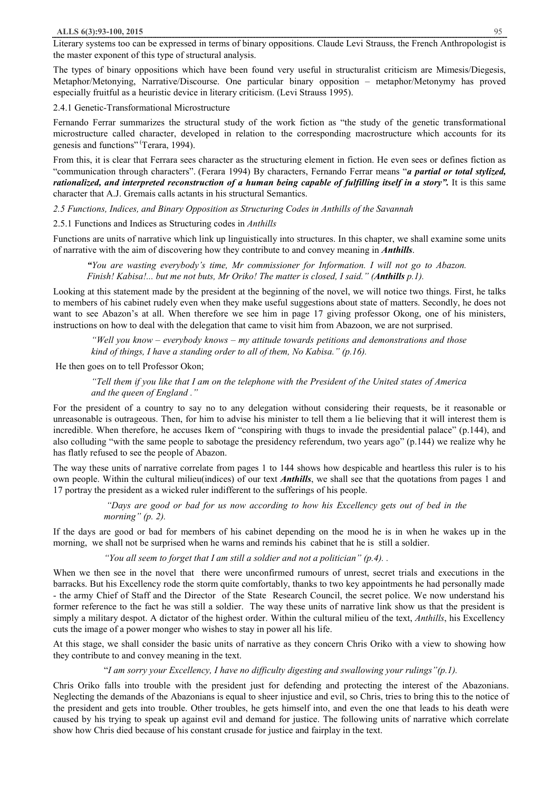Literary systems too can be expressed in terms of binary oppositions. Claude Levi Strauss, the French Anthropologist is the master exponent of this type of structural analysis.

The types of binary oppositions which have been found very useful in structuralist criticism are Mimesis/Diegesis, Metaphor/Metonying, Narrative/Discourse. One particular binary opposition – metaphor/Metonymy has proved especially fruitful as a heuristic device in literary criticism. (Levi Strauss 1995).

2.4.1 Genetic-Transformational Microstructure

Fernando Ferrar summarizes the structural study of the work fiction as "the study of the genetic transformational microstructure called character, developed in relation to the corresponding macrostructure which accounts for its genesis and functions" (Terara, 1994).

From this, it is clear that Ferrara sees character as the structuring element in fiction. He even sees or defines fiction as "communication through characters". (Ferara 1994) By characters, Fernando Ferrar means "*a partial or total stylized, rationalized, and interpreted reconstruction of a human being capable of fulfilling itself in a story".* It is this same character that A.J. Gremais calls actants in his structural Semantics.

*2.5 Functions, Indices, and Binary Opposition as Structuring Codes in Anthills of the Savannah* 

2.5.1 Functions and Indices as Structuring codes in *Anthills*

Functions are units of narrative which link up linguistically into structures. In this chapter, we shall examine some units of narrative with the aim of discovering how they contribute to and convey meaning in *Anthills*.

*"You are wasting everybody's time, Mr commissioner for Information. I will not go to Abazon. Finish! Kabisa!... but me not buts, Mr Oriko! The matter is closed, I said." (Anthills p.1).* 

Looking at this statement made by the president at the beginning of the novel, we will notice two things. First, he talks to members of his cabinet rudely even when they make useful suggestions about state of matters. Secondly, he does not want to see Abazon's at all. When therefore we see him in page 17 giving professor Okong, one of his ministers, instructions on how to deal with the delegation that came to visit him from Abazoon, we are not surprised.

*"Well you know – everybody knows – my attitude towards petitions and demonstrations and those kind of things, I have a standing order to all of them, No Kabisa." (p.16).* 

He then goes on to tell Professor Okon;

"Tell them if you like that I am on the telephone with the President of the United states of America *and the queen of England ."* 

For the president of a country to say no to any delegation without considering their requests, be it reasonable or unreasonable is outrageous. Then, for him to advise his minister to tell them a lie believing that it will interest them is incredible. When therefore, he accuses Ikem of "conspiring with thugs to invade the presidential palace" (p.144), and also colluding "with the same people to sabotage the presidency referendum, two years ago" (p.144) we realize why he has flatly refused to see the people of Abazon.

The way these units of narrative correlate from pages 1 to 144 shows how despicable and heartless this ruler is to his own people. Within the cultural milieu(indices) of our text *Anthills*, we shall see that the quotations from pages 1 and 17 portray the president as a wicked ruler indifferent to the sufferings of his people.

> *"Days are good or bad for us now according to how his Excellency gets out of bed in the morning" (p. 2).*

If the days are good or bad for members of his cabinet depending on the mood he is in when he wakes up in the morning, we shall not be surprised when he warns and reminds his cabinet that he is still a soldier.

*"You all seem to forget that I am still a soldier and not a politician" (p.4). .* 

When we then see in the novel that there were unconfirmed rumours of unrest, secret trials and executions in the barracks. But his Excellency rode the storm quite comfortably, thanks to two key appointments he had personally made - the army Chief of Staff and the Director of the State Research Council, the secret police. We now understand his former reference to the fact he was still a soldier. The way these units of narrative link show us that the president is simply a military despot. A dictator of the highest order. Within the cultural milieu of the text, *Anthills*, his Excellency cuts the image of a power monger who wishes to stay in power all his life.

At this stage, we shall consider the basic units of narrative as they concern Chris Oriko with a view to showing how they contribute to and convey meaning in the text.

# "*I am sorry your Excellency, I have no difficulty digesting and swallowing your rulings"(p.1).*

Chris Oriko falls into trouble with the president just for defending and protecting the interest of the Abazonians. Neglecting the demands of the Abazonians is equal to sheer injustice and evil, so Chris, tries to bring this to the notice of the president and gets into trouble. Other troubles, he gets himself into, and even the one that leads to his death were caused by his trying to speak up against evil and demand for justice. The following units of narrative which correlate show how Chris died because of his constant crusade for justice and fairplay in the text.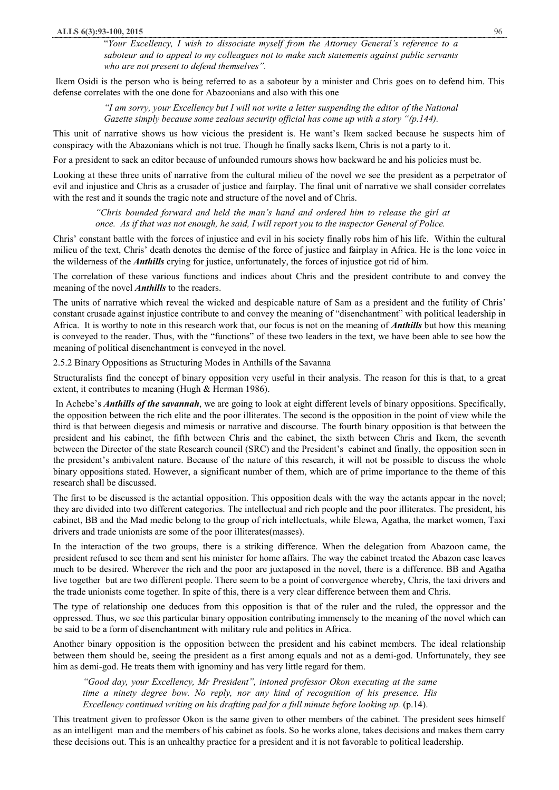"*Your Excellency, I wish to dissociate myself from the Attorney General's reference to a saboteur and to appeal to my colleagues not to make such statements against public servants who are not present to defend themselves".* 

Ikem Osidi is the person who is being referred to as a saboteur by a minister and Chris goes on to defend him. This defense correlates with the one done for Abazoonians and also with this one

> *"I am sorry, your Excellency but I will not write a letter suspending the editor of the National Gazette simply because some zealous security official has come up with a story "(p.144).*

This unit of narrative shows us how vicious the president is. He want's Ikem sacked because he suspects him of conspiracy with the Abazonians which is not true. Though he finally sacks Ikem, Chris is not a party to it.

For a president to sack an editor because of unfounded rumours shows how backward he and his policies must be.

Looking at these three units of narrative from the cultural milieu of the novel we see the president as a perpetrator of evil and injustice and Chris as a crusader of justice and fairplay. The final unit of narrative we shall consider correlates with the rest and it sounds the tragic note and structure of the novel and of Chris.

*"Chris bounded forward and held the man's hand and ordered him to release the girl at once. As if that was not enough, he said, I will report you to the inspector General of Police.* 

Chris' constant battle with the forces of injustice and evil in his society finally robs him of his life. Within the cultural milieu of the text, Chris' death denotes the demise of the force of justice and fairplay in Africa. He is the lone voice in the wilderness of the *Anthills* crying for justice, unfortunately, the forces of injustice got rid of him.

The correlation of these various functions and indices about Chris and the president contribute to and convey the meaning of the novel *Anthills* to the readers.

The units of narrative which reveal the wicked and despicable nature of Sam as a president and the futility of Chris' constant crusade against injustice contribute to and convey the meaning of "disenchantment" with political leadership in Africa. It is worthy to note in this research work that, our focus is not on the meaning of *Anthills* but how this meaning is conveyed to the reader. Thus, with the "functions" of these two leaders in the text, we have been able to see how the meaning of political disenchantment is conveyed in the novel.

2.5.2 Binary Oppositions as Structuring Modes in Anthills of the Savanna

Structuralists find the concept of binary opposition very useful in their analysis. The reason for this is that, to a great extent, it contributes to meaning (Hugh & Herman 1986).

 In Achebe's *Anthills of the savannah*, we are going to look at eight different levels of binary oppositions. Specifically, the opposition between the rich elite and the poor illiterates. The second is the opposition in the point of view while the third is that between diegesis and mimesis or narrative and discourse. The fourth binary opposition is that between the president and his cabinet, the fifth between Chris and the cabinet, the sixth between Chris and Ikem, the seventh between the Director of the state Research council (SRC) and the President's cabinet and finally, the opposition seen in the president's ambivalent nature. Because of the nature of this research, it will not be possible to discuss the whole binary oppositions stated. However, a significant number of them, which are of prime importance to the theme of this research shall be discussed.

The first to be discussed is the actantial opposition. This opposition deals with the way the actants appear in the novel; they are divided into two different categories. The intellectual and rich people and the poor illiterates. The president, his cabinet, BB and the Mad medic belong to the group of rich intellectuals, while Elewa, Agatha, the market women, Taxi drivers and trade unionists are some of the poor illiterates(masses).

In the interaction of the two groups, there is a striking difference. When the delegation from Abazoon came, the president refused to see them and sent his minister for home affairs. The way the cabinet treated the Abazon case leaves much to be desired. Wherever the rich and the poor are juxtaposed in the novel, there is a difference. BB and Agatha live together but are two different people. There seem to be a point of convergence whereby, Chris, the taxi drivers and the trade unionists come together. In spite of this, there is a very clear difference between them and Chris.

The type of relationship one deduces from this opposition is that of the ruler and the ruled, the oppressor and the oppressed. Thus, we see this particular binary opposition contributing immensely to the meaning of the novel which can be said to be a form of disenchantment with military rule and politics in Africa.

Another binary opposition is the opposition between the president and his cabinet members. The ideal relationship between them should be, seeing the president as a first among equals and not as a demi-god. Unfortunately, they see him as demi-god. He treats them with ignominy and has very little regard for them.

*"Good day, your Excellency, Mr President", intoned professor Okon executing at the same time a ninety degree bow. No reply, nor any kind of recognition of his presence. His Excellency continued writing on his drafting pad for a full minute before looking up.* (p.14).

This treatment given to professor Okon is the same given to other members of the cabinet. The president sees himself as an intelligent man and the members of his cabinet as fools. So he works alone, takes decisions and makes them carry these decisions out. This is an unhealthy practice for a president and it is not favorable to political leadership.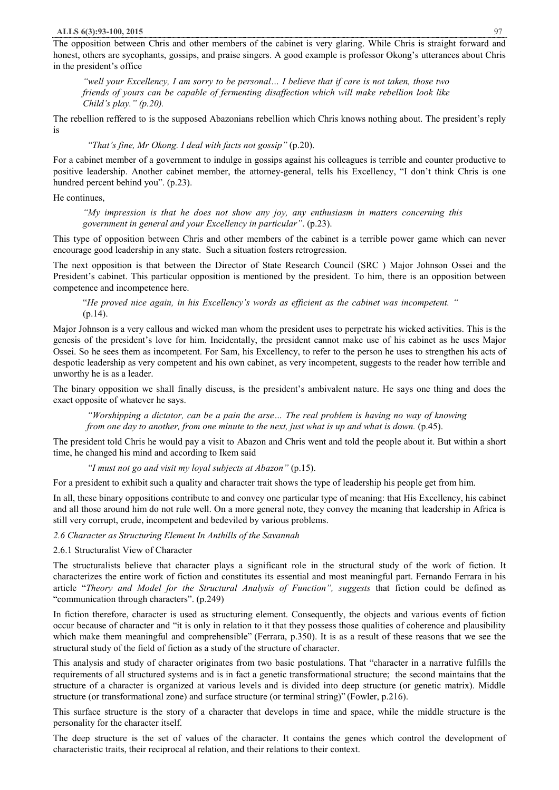The opposition between Chris and other members of the cabinet is very glaring. While Chris is straight forward and honest, others are sycophants, gossips, and praise singers. A good example is professor Okong's utterances about Chris in the president's office

"well your Excellency, I am sorry to be personal... I believe that if care is not taken, those two *friends of yours can be capable of fermenting disaffection which will make rebellion look like Child's play." (p.20).* 

The rebellion reffered to is the supposed Abazonians rebellion which Chris knows nothing about. The president's reply is

# *"That's fine, Mr Okong. I deal with facts not gossip"* (p.20).

For a cabinet member of a government to indulge in gossips against his colleagues is terrible and counter productive to positive leadership. Another cabinet member, the attorney-general, tells his Excellency, "I don't think Chris is one hundred percent behind you". (p.23).

He continues,

*"My impression is that he does not show any joy, any enthusiasm in matters concerning this government in general and your Excellency in particular"*. (p.23).

This type of opposition between Chris and other members of the cabinet is a terrible power game which can never encourage good leadership in any state. Such a situation fosters retrogression.

The next opposition is that between the Director of State Research Council (SRC ) Major Johnson Ossei and the President's cabinet. This particular opposition is mentioned by the president. To him, there is an opposition between competence and incompetence here.

"*He proved nice again, in his Excellency's words as efficient as the cabinet was incompetent. "*  (p.14).

Major Johnson is a very callous and wicked man whom the president uses to perpetrate his wicked activities. This is the genesis of the president's love for him. Incidentally, the president cannot make use of his cabinet as he uses Major Ossei. So he sees them as incompetent. For Sam, his Excellency, to refer to the person he uses to strengthen his acts of despotic leadership as very competent and his own cabinet, as very incompetent, suggests to the reader how terrible and unworthy he is as a leader.

The binary opposition we shall finally discuss, is the president's ambivalent nature. He says one thing and does the exact opposite of whatever he says.

*"Worshipping a dictator, can be a pain the arse… The real problem is having no way of knowing from one day to another, from one minute to the next, just what is up and what is down.* (p.45).

The president told Chris he would pay a visit to Abazon and Chris went and told the people about it. But within a short time, he changed his mind and according to Ikem said

*"I must not go and visit my loyal subjects at Abazon"* (p.15).

For a president to exhibit such a quality and character trait shows the type of leadership his people get from him.

In all, these binary oppositions contribute to and convey one particular type of meaning: that His Excellency, his cabinet and all those around him do not rule well. On a more general note, they convey the meaning that leadership in Africa is still very corrupt, crude, incompetent and bedeviled by various problems.

*2.6 Character as Structuring Element In Anthills of the Savannah* 

# 2.6.1 Structuralist View of Character

The structuralists believe that character plays a significant role in the structural study of the work of fiction. It characterizes the entire work of fiction and constitutes its essential and most meaningful part. Fernando Ferrara in his article "*Theory and Model for the Structural Analysis of Function", suggests* that fiction could be defined as "communication through characters". (p.249)

In fiction therefore, character is used as structuring element. Consequently, the objects and various events of fiction occur because of character and "it is only in relation to it that they possess those qualities of coherence and plausibility which make them meaningful and comprehensible" (Ferrara, p.350). It is as a result of these reasons that we see the structural study of the field of fiction as a study of the structure of character.

This analysis and study of character originates from two basic postulations. That "character in a narrative fulfills the requirements of all structured systems and is in fact a genetic transformational structure; the second maintains that the structure of a character is organized at various levels and is divided into deep structure (or genetic matrix). Middle structure (or transformational zone) and surface structure (or terminal string)" (Fowler, p.216).

This surface structure is the story of a character that develops in time and space, while the middle structure is the personality for the character itself.

The deep structure is the set of values of the character. It contains the genes which control the development of characteristic traits, their reciprocal al relation, and their relations to their context.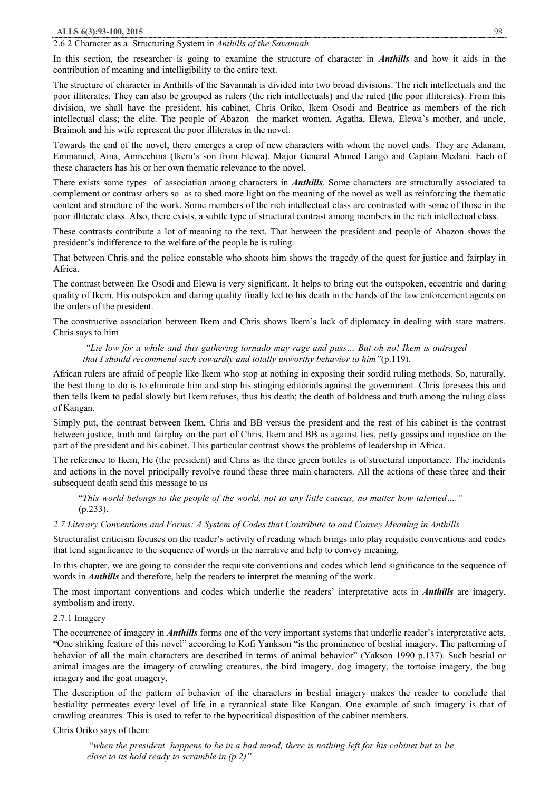## 2.6.2 Character as a Structuring System in *Anthills of the Savannah*

In this section, the researcher is going to examine the structure of character in *Anthills* and how it aids in the contribution of meaning and intelligibility to the entire text.

The structure of character in Anthills of the Savannah is divided into two broad divisions. The rich intellectuals and the poor illiterates. They can also be grouped as rulers (the rich intellectuals) and the ruled (the poor illiterates). From this division, we shall have the president, his cabinet, Chris Oriko, Ikem Osodi and Beatrice as members of the rich intellectual class; the elite. The people of Abazon the market women, Agatha, Elewa, Elewa's mother, and uncle, Braimoh and his wife represent the poor illiterates in the novel.

Towards the end of the novel, there emerges a crop of new characters with whom the novel ends. They are Adanam, Emmanuel, Aina, Amnechina (Ikem's son from Elewa). Major General Ahmed Lango and Captain Medani. Each of these characters has his or her own thematic relevance to the novel.

There exists some types of association among characters in *Anthills*. Some characters are structurally associated to complement or contrast others so as to shed more light on the meaning of the novel as well as reinforcing the thematic content and structure of the work. Some members of the rich intellectual class are contrasted with some of those in the poor illiterate class. Also, there exists, a subtle type of structural contrast among members in the rich intellectual class.

These contrasts contribute a lot of meaning to the text. That between the president and people of Abazon shows the president's indifference to the welfare of the people he is ruling.

That between Chris and the police constable who shoots him shows the tragedy of the quest for justice and fairplay in Africa.

The contrast between Ike Osodi and Elewa is very significant. It helps to bring out the outspoken, eccentric and daring quality of Ikem. His outspoken and daring quality finally led to his death in the hands of the law enforcement agents on the orders of the president.

The constructive association between Ikem and Chris shows Ikem's lack of diplomacy in dealing with state matters. Chris says to him

"Lie low for a while and this gathering tornado may rage and pass... But oh no! Ikem is outraged *that I should recommend such cowardly and totally unworthy behavior to him"*(p.119).

African rulers are afraid of people like Ikem who stop at nothing in exposing their sordid ruling methods. So, naturally, the best thing to do is to eliminate him and stop his stinging editorials against the government. Chris foresees this and then tells Ikem to pedal slowly but Ikem refuses, thus his death; the death of boldness and truth among the ruling class of Kangan.

Simply put, the contrast between Ikem, Chris and BB versus the president and the rest of his cabinet is the contrast between justice, truth and fairplay on the part of Chris, Ikem and BB as against lies, petty gossips and injustice on the part of the president and his cabinet. This particular contrast shows the problems of leadership in Africa.

The reference to Ikem, He (the president) and Chris as the three green bottles is of structural importance. The incidents and actions in the novel principally revolve round these three main characters. All the actions of these three and their subsequent death send this message to us

"This world belongs to the people of the world, not to any little caucus, no matter how talented...." (p.233).

#### *2.7 Literary Conventions and Forms: A System of Codes that Contribute to and Convey Meaning in Anthills*

Structuralist criticism focuses on the reader's activity of reading which brings into play requisite conventions and codes that lend significance to the sequence of words in the narrative and help to convey meaning.

In this chapter, we are going to consider the requisite conventions and codes which lend significance to the sequence of words in *Anthills* and therefore, help the readers to interpret the meaning of the work.

The most important conventions and codes which underlie the readers' interpretative acts in *Anthills* are imagery, symbolism and irony.

#### 2.7.1 Imagery

The occurrence of imagery in *Anthills* forms one of the very important systems that underlie reader's interpretative acts. "One striking feature of this novel" according to Kofi Yankson "is the prominence of bestial imagery. The patterning of behavior of all the main characters are described in terms of animal behavior" (Yakson 1990 p.137). Such bestial or animal images are the imagery of crawling creatures, the bird imagery, dog imagery, the tortoise imagery, the bug imagery and the goat imagery.

The description of the pattern of behavior of the characters in bestial imagery makes the reader to conclude that bestiality permeates every level of life in a tyrannical state like Kangan. One example of such imagery is that of crawling creatures. This is used to refer to the hypocritical disposition of the cabinet members.

#### Chris Oriko says of them:

"when the president happens to be in a bad mood, there is nothing left for his cabinet but to lie *close to its hold ready to scramble in (p.2)"*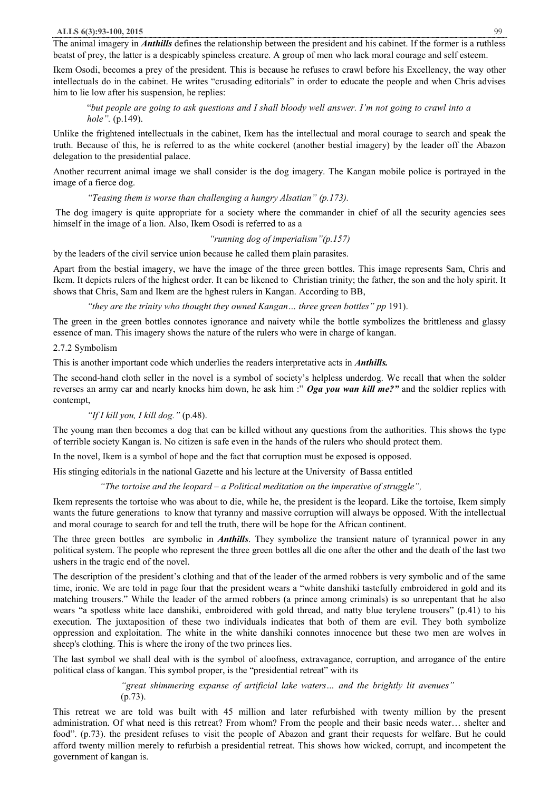The animal imagery in *Anthills* defines the relationship between the president and his cabinet. If the former is a ruthless beatst of prey, the latter is a despicably spineless creature. A group of men who lack moral courage and self esteem.

Ikem Osodi, becomes a prey of the president. This is because he refuses to crawl before his Excellency, the way other intellectuals do in the cabinet. He writes "crusading editorials" in order to educate the people and when Chris advises him to lie low after his suspension, he replies:

"but people are going to ask questions and I shall bloody well answer. I'm not going to crawl into a *hole".* (p.149).

Unlike the frightened intellectuals in the cabinet, Ikem has the intellectual and moral courage to search and speak the truth. Because of this, he is referred to as the white cockerel (another bestial imagery) by the leader off the Abazon delegation to the presidential palace.

Another recurrent animal image we shall consider is the dog imagery. The Kangan mobile police is portrayed in the image of a fierce dog.

*"Teasing them is worse than challenging a hungry Alsatian" (p.173).* 

The dog imagery is quite appropriate for a society where the commander in chief of all the security agencies sees himself in the image of a lion. Also, Ikem Osodi is referred to as a

*"running dog of imperialism"(p.157)* 

by the leaders of the civil service union because he called them plain parasites.

Apart from the bestial imagery, we have the image of the three green bottles. This image represents Sam, Chris and Ikem. It depicts rulers of the highest order. It can be likened to Christian trinity; the father, the son and the holy spirit. It shows that Chris, Sam and Ikem are the hghest rulers in Kangan. According to BB,

*"they are the trinity who thought they owned Kangan… three green bottles" pp* 191).

The green in the green bottles connotes ignorance and naivety while the bottle symbolizes the brittleness and glassy essence of man. This imagery shows the nature of the rulers who were in charge of kangan.

## 2.7.2 Symbolism

This is another important code which underlies the readers interpretative acts in *Anthills.*

The second-hand cloth seller in the novel is a symbol of society's helpless underdog. We recall that when the solder reverses an army car and nearly knocks him down, he ask him :" *Oga you wan kill me?"* and the soldier replies with contempt,

#### *"If I kill you, I kill dog."* (p.48).

The young man then becomes a dog that can be killed without any questions from the authorities. This shows the type of terrible society Kangan is. No citizen is safe even in the hands of the rulers who should protect them.

In the novel, Ikem is a symbol of hope and the fact that corruption must be exposed is opposed.

His stinging editorials in the national Gazette and his lecture at the University of Bassa entitled

#### *"The tortoise and the leopard – a Political meditation on the imperative of struggle",*

Ikem represents the tortoise who was about to die, while he, the president is the leopard. Like the tortoise, Ikem simply wants the future generations to know that tyranny and massive corruption will always be opposed. With the intellectual and moral courage to search for and tell the truth, there will be hope for the African continent.

The three green bottles are symbolic in *Anthills*. They symbolize the transient nature of tyrannical power in any political system. The people who represent the three green bottles all die one after the other and the death of the last two ushers in the tragic end of the novel.

The description of the president's clothing and that of the leader of the armed robbers is very symbolic and of the same time, ironic. We are told in page four that the president wears a "white danshiki tastefully embroidered in gold and its matching trousers." While the leader of the armed robbers (a prince among criminals) is so unrepentant that he also wears "a spotless white lace danshiki, embroidered with gold thread, and natty blue terylene trousers" (p.41) to his execution. The juxtaposition of these two individuals indicates that both of them are evil. They both symbolize oppression and exploitation. The white in the white danshiki connotes innocence but these two men are wolves in sheep's clothing. This is where the irony of the two princes lies.

The last symbol we shall deal with is the symbol of aloofness, extravagance, corruption, and arrogance of the entire political class of kangan. This symbol proper, is the "presidential retreat" with its

> *"great shimmering expanse of artificial lake waters… and the brightly lit avenues"* (p.73).

This retreat we are told was built with 45 million and later refurbished with twenty million by the present administration. Of what need is this retreat? From whom? From the people and their basic needs water… shelter and food". (p.73). the president refuses to visit the people of Abazon and grant their requests for welfare. But he could afford twenty million merely to refurbish a presidential retreat. This shows how wicked, corrupt, and incompetent the government of kangan is.